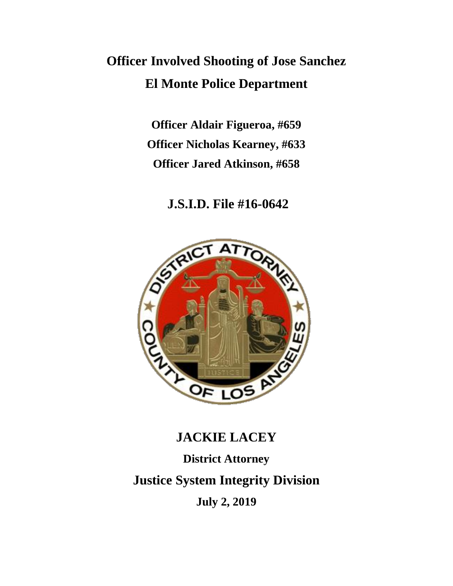## **Officer Involved Shooting of Jose Sanchez El Monte Police Department**

**Officer Aldair Figueroa, #659 Officer Nicholas Kearney, #633 Officer Jared Atkinson, #658**

**J.S.I.D. File #16-0642**



# **JACKIE LACEY District Attorney Justice System Integrity Division July 2, 2019**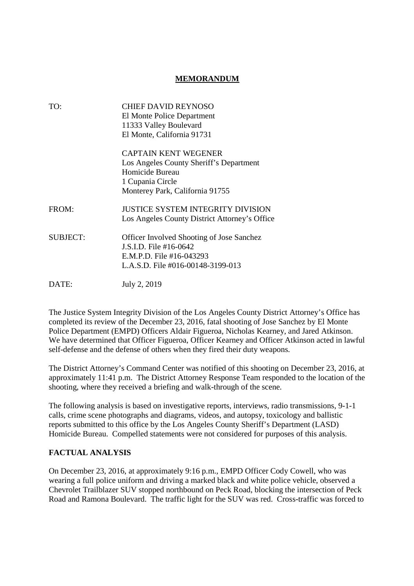## **MEMORANDUM**

| TO:             | <b>CHIEF DAVID REYNOSO</b>                       |
|-----------------|--------------------------------------------------|
|                 | El Monte Police Department                       |
|                 | 11333 Valley Boulevard                           |
|                 | El Monte, California 91731                       |
|                 | CAPTAIN KENT WEGENER                             |
|                 | Los Angeles County Sheriff's Department          |
|                 | Homicide Bureau                                  |
|                 | 1 Cupania Circle                                 |
|                 | Monterey Park, California 91755                  |
| FROM:           | <b>JUSTICE SYSTEM INTEGRITY DIVISION</b>         |
|                 | Los Angeles County District Attorney's Office    |
| <b>SUBJECT:</b> | <b>Officer Involved Shooting of Jose Sanchez</b> |
|                 | J.S.I.D. File #16-0642                           |
|                 | E.M.P.D. File #16-043293                         |
|                 | L.A.S.D. File #016-00148-3199-013                |
| DATE:           | July 2, 2019                                     |
|                 |                                                  |

The Justice System Integrity Division of the Los Angeles County District Attorney's Office has completed its review of the December 23, 2016, fatal shooting of Jose Sanchez by El Monte Police Department (EMPD) Officers Aldair Figueroa, Nicholas Kearney, and Jared Atkinson. We have determined that Officer Figueroa, Officer Kearney and Officer Atkinson acted in lawful self-defense and the defense of others when they fired their duty weapons.

The District Attorney's Command Center was notified of this shooting on December 23, 2016, at approximately 11:41 p.m. The District Attorney Response Team responded to the location of the shooting, where they received a briefing and walk-through of the scene.

The following analysis is based on investigative reports, interviews, radio transmissions, 9-1-1 calls, crime scene photographs and diagrams, videos, and autopsy, toxicology and ballistic reports submitted to this office by the Los Angeles County Sheriff's Department (LASD) Homicide Bureau. Compelled statements were not considered for purposes of this analysis.

## **FACTUAL ANALYSIS**

On December 23, 2016, at approximately 9:16 p.m., EMPD Officer Cody Cowell, who was wearing a full police uniform and driving a marked black and white police vehicle, observed a Chevrolet Trailblazer SUV stopped northbound on Peck Road, blocking the intersection of Peck Road and Ramona Boulevard. The traffic light for the SUV was red. Cross-traffic was forced to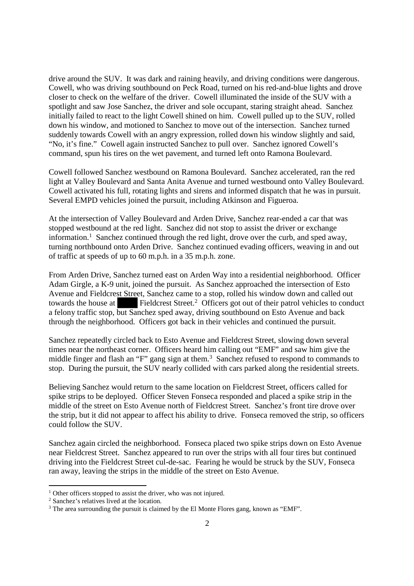drive around the SUV. It was dark and raining heavily, and driving conditions were dangerous. Cowell, who was driving southbound on Peck Road, turned on his red-and-blue lights and drove closer to check on the welfare of the driver. Cowell illuminated the inside of the SUV with a spotlight and saw Jose Sanchez, the driver and sole occupant, staring straight ahead. Sanchez initially failed to react to the light Cowell shined on him. Cowell pulled up to the SUV, rolled down his window, and motioned to Sanchez to move out of the intersection. Sanchez turned suddenly towards Cowell with an angry expression, rolled down his window slightly and said, "No, it's fine." Cowell again instructed Sanchez to pull over. Sanchez ignored Cowell's command, spun his tires on the wet pavement, and turned left onto Ramona Boulevard.

Cowell followed Sanchez westbound on Ramona Boulevard. Sanchez accelerated, ran the red light at Valley Boulevard and Santa Anita Avenue and turned westbound onto Valley Boulevard. Cowell activated his full, rotating lights and sirens and informed dispatch that he was in pursuit. Several EMPD vehicles joined the pursuit, including Atkinson and Figueroa.

At the intersection of Valley Boulevard and Arden Drive, Sanchez rear-ended a car that was stopped westbound at the red light. Sanchez did not stop to assist the driver or exchange information.<sup>1</sup> Sanchez continued through the red light, drove over the curb, and sped away, turning northbound onto Arden Drive. Sanchez continued evading officers, weaving in and out of traffic at speeds of up to 60 m.p.h. in a 35 m.p.h. zone.

From Arden Drive, Sanchez turned east on Arden Way into a residential neighborhood. Officer Adam Girgle, a K-9 unit, joined the pursuit. As Sanchez approached the intersection of Esto Avenue and Fieldcrest Street, Sanchez came to a stop, rolled his window down and called out towards the house at Fieldcrest Street.<sup>2</sup> Officers got out of their patrol vehicles to conduct a felony traffic stop, but Sanchez sped away, driving southbound on Esto Avenue and back through the neighborhood. Officers got back in their vehicles and continued the pursuit.

Sanchez repeatedly circled back to Esto Avenue and Fieldcrest Street, slowing down several times near the northeast corner. Officers heard him calling out "EMF" and saw him give the middle finger and flash an "F" gang sign at them.<sup>3</sup> Sanchez refused to respond to commands to stop. During the pursuit, the SUV nearly collided with cars parked along the residential streets.

Believing Sanchez would return to the same location on Fieldcrest Street, officers called for spike strips to be deployed. Officer Steven Fonseca responded and placed a spike strip in the middle of the street on Esto Avenue north of Fieldcrest Street. Sanchez's front tire drove over the strip, but it did not appear to affect his ability to drive. Fonseca removed the strip, so officers could follow the SUV.

Sanchez again circled the neighborhood. Fonseca placed two spike strips down on Esto Avenue near Fieldcrest Street. Sanchez appeared to run over the strips with all four tires but continued driving into the Fieldcrest Street cul-de-sac. Fearing he would be struck by the SUV, Fonseca ran away, leaving the strips in the middle of the street on Esto Avenue.

<sup>&</sup>lt;sup>1</sup> Other officers stopped to assist the driver, who was not injured.

<sup>2</sup> Sanchez's relatives lived at the location.

<sup>&</sup>lt;sup>3</sup> The area surrounding the pursuit is claimed by the El Monte Flores gang, known as "EMF".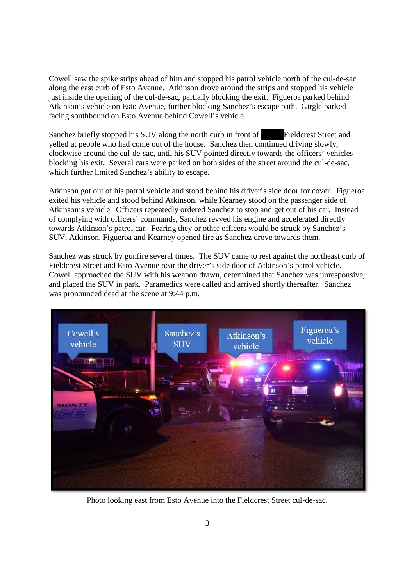Cowell saw the spike strips ahead of him and stopped his patrol vehicle north of the cul-de-sac along the east curb of Esto Avenue. Atkinson drove around the strips and stopped his vehicle just inside the opening of the cul-de-sac, partially blocking the exit. Figueroa parked behind Atkinson's vehicle on Esto Avenue, further blocking Sanchez's escape path. Girgle parked facing southbound on Esto Avenue behind Cowell's vehicle.

Sanchez briefly stopped his SUV along the north curb in front of Fieldcrest Street and yelled at people who had come out of the house. Sanchez then continued driving slowly, clockwise around the cul-de-sac, until his SUV pointed directly towards the officers' vehicles blocking his exit. Several cars were parked on both sides of the street around the cul-de-sac, which further limited Sanchez's ability to escape.

Atkinson got out of his patrol vehicle and stood behind his driver's side door for cover. Figueroa exited his vehicle and stood behind Atkinson, while Kearney stood on the passenger side of Atkinson's vehicle. Officers repeatedly ordered Sanchez to stop and get out of his car. Instead of complying with officers' commands, Sanchez revved his engine and accelerated directly towards Atkinson's patrol car. Fearing they or other officers would be struck by Sanchez's SUV, Atkinson, Figueroa and Kearney opened fire as Sanchez drove towards them.

Sanchez was struck by gunfire several times. The SUV came to rest against the northeast curb of Fieldcrest Street and Esto Avenue near the driver's side door of Atkinson's patrol vehicle. Cowell approached the SUV with his weapon drawn, determined that Sanchez was unresponsive, and placed the SUV in park. Paramedics were called and arrived shortly thereafter. Sanchez was pronounced dead at the scene at 9:44 p.m.



Photo looking east from Esto Avenue into the Fieldcrest Street cul-de-sac.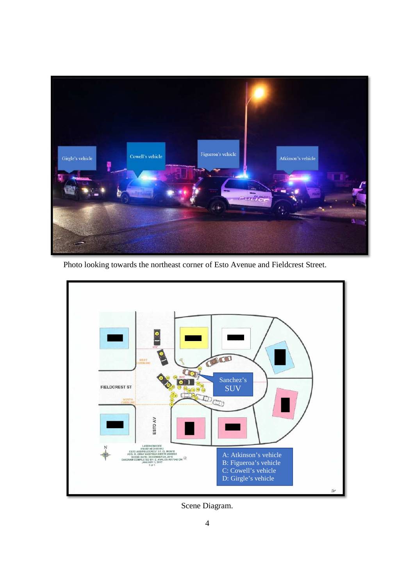

Photo looking towards the northeast corner of Esto Avenue and Fieldcrest Street.



Scene Diagram.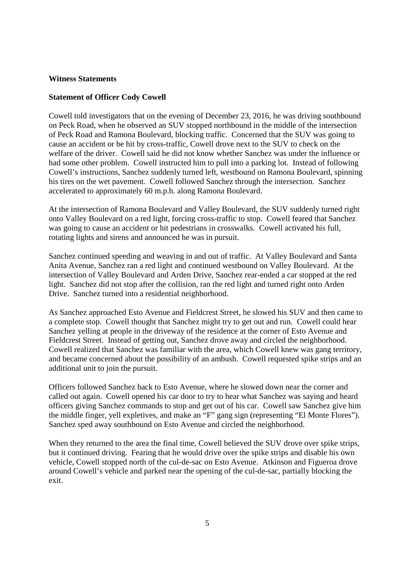#### **Witness Statements**

#### **Statement of Officer Cody Cowell**

Cowell told investigators that on the evening of December 23, 2016, he was driving southbound on Peck Road, when he observed an SUV stopped northbound in the middle of the intersection of Peck Road and Ramona Boulevard, blocking traffic. Concerned that the SUV was going to cause an accident or be hit by cross-traffic, Cowell drove next to the SUV to check on the welfare of the driver. Cowell said he did not know whether Sanchez was under the influence or had some other problem. Cowell instructed him to pull into a parking lot. Instead of following Cowell's instructions, Sanchez suddenly turned left, westbound on Ramona Boulevard, spinning his tires on the wet pavement. Cowell followed Sanchez through the intersection. Sanchez accelerated to approximately 60 m.p.h. along Ramona Boulevard.

At the intersection of Ramona Boulevard and Valley Boulevard, the SUV suddenly turned right onto Valley Boulevard on a red light, forcing cross-traffic to stop. Cowell feared that Sanchez was going to cause an accident or hit pedestrians in crosswalks. Cowell activated his full, rotating lights and sirens and announced he was in pursuit.

Sanchez continued speeding and weaving in and out of traffic. At Valley Boulevard and Santa Anita Avenue, Sanchez ran a red light and continued westbound on Valley Boulevard. At the intersection of Valley Boulevard and Arden Drive, Sanchez rear-ended a car stopped at the red light. Sanchez did not stop after the collision, ran the red light and turned right onto Arden Drive. Sanchez turned into a residential neighborhood.

As Sanchez approached Esto Avenue and Fieldcrest Street, he slowed his SUV and then came to a complete stop. Cowell thought that Sanchez might try to get out and run. Cowell could hear Sanchez yelling at people in the driveway of the residence at the corner of Esto Avenue and Fieldcrest Street. Instead of getting out, Sanchez drove away and circled the neighborhood. Cowell realized that Sanchez was familiar with the area, which Cowell knew was gang territory, and became concerned about the possibility of an ambush. Cowell requested spike strips and an additional unit to join the pursuit.

Officers followed Sanchez back to Esto Avenue, where he slowed down near the corner and called out again. Cowell opened his car door to try to hear what Sanchez was saying and heard officers giving Sanchez commands to stop and get out of his car. Cowell saw Sanchez give him the middle finger, yell expletives, and make an "F" gang sign (representing "El Monte Flores"). Sanchez sped away southbound on Esto Avenue and circled the neighborhood.

When they returned to the area the final time, Cowell believed the SUV drove over spike strips, but it continued driving. Fearing that he would drive over the spike strips and disable his own vehicle, Cowell stopped north of the cul-de-sac on Esto Avenue. Atkinson and Figueroa drove around Cowell's vehicle and parked near the opening of the cul-de-sac, partially blocking the exit.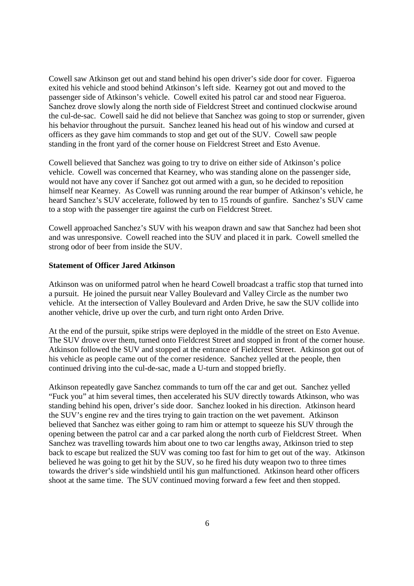Cowell saw Atkinson get out and stand behind his open driver's side door for cover. Figueroa exited his vehicle and stood behind Atkinson's left side. Kearney got out and moved to the passenger side of Atkinson's vehicle. Cowell exited his patrol car and stood near Figueroa. Sanchez drove slowly along the north side of Fieldcrest Street and continued clockwise around the cul-de-sac. Cowell said he did not believe that Sanchez was going to stop or surrender, given his behavior throughout the pursuit. Sanchez leaned his head out of his window and cursed at officers as they gave him commands to stop and get out of the SUV. Cowell saw people standing in the front yard of the corner house on Fieldcrest Street and Esto Avenue.

Cowell believed that Sanchez was going to try to drive on either side of Atkinson's police vehicle. Cowell was concerned that Kearney, who was standing alone on the passenger side, would not have any cover if Sanchez got out armed with a gun, so he decided to reposition himself near Kearney. As Cowell was running around the rear bumper of Atkinson's vehicle, he heard Sanchez's SUV accelerate, followed by ten to 15 rounds of gunfire. Sanchez's SUV came to a stop with the passenger tire against the curb on Fieldcrest Street.

Cowell approached Sanchez's SUV with his weapon drawn and saw that Sanchez had been shot and was unresponsive. Cowell reached into the SUV and placed it in park. Cowell smelled the strong odor of beer from inside the SUV.

#### **Statement of Officer Jared Atkinson**

Atkinson was on uniformed patrol when he heard Cowell broadcast a traffic stop that turned into a pursuit. He joined the pursuit near Valley Boulevard and Valley Circle as the number two vehicle. At the intersection of Valley Boulevard and Arden Drive, he saw the SUV collide into another vehicle, drive up over the curb, and turn right onto Arden Drive.

At the end of the pursuit, spike strips were deployed in the middle of the street on Esto Avenue. The SUV drove over them, turned onto Fieldcrest Street and stopped in front of the corner house. Atkinson followed the SUV and stopped at the entrance of Fieldcrest Street. Atkinson got out of his vehicle as people came out of the corner residence. Sanchez yelled at the people, then continued driving into the cul-de-sac, made a U-turn and stopped briefly.

Atkinson repeatedly gave Sanchez commands to turn off the car and get out. Sanchez yelled "Fuck you" at him several times, then accelerated his SUV directly towards Atkinson, who was standing behind his open, driver's side door. Sanchez looked in his direction. Atkinson heard the SUV's engine rev and the tires trying to gain traction on the wet pavement. Atkinson believed that Sanchez was either going to ram him or attempt to squeeze his SUV through the opening between the patrol car and a car parked along the north curb of Fieldcrest Street. When Sanchez was travelling towards him about one to two car lengths away, Atkinson tried to step back to escape but realized the SUV was coming too fast for him to get out of the way. Atkinson believed he was going to get hit by the SUV, so he fired his duty weapon two to three times towards the driver's side windshield until his gun malfunctioned. Atkinson heard other officers shoot at the same time. The SUV continued moving forward a few feet and then stopped.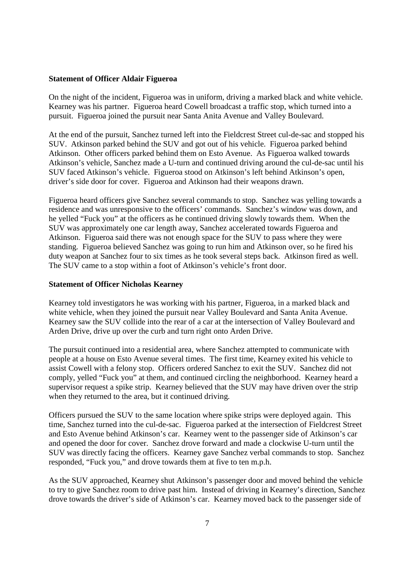#### **Statement of Officer Aldair Figueroa**

On the night of the incident, Figueroa was in uniform, driving a marked black and white vehicle. Kearney was his partner. Figueroa heard Cowell broadcast a traffic stop, which turned into a pursuit. Figueroa joined the pursuit near Santa Anita Avenue and Valley Boulevard.

At the end of the pursuit, Sanchez turned left into the Fieldcrest Street cul-de-sac and stopped his SUV. Atkinson parked behind the SUV and got out of his vehicle. Figueroa parked behind Atkinson. Other officers parked behind them on Esto Avenue. As Figueroa walked towards Atkinson's vehicle, Sanchez made a U-turn and continued driving around the cul-de-sac until his SUV faced Atkinson's vehicle. Figueroa stood on Atkinson's left behind Atkinson's open, driver's side door for cover. Figueroa and Atkinson had their weapons drawn.

Figueroa heard officers give Sanchez several commands to stop. Sanchez was yelling towards a residence and was unresponsive to the officers' commands. Sanchez's window was down, and he yelled "Fuck you" at the officers as he continued driving slowly towards them. When the SUV was approximately one car length away, Sanchez accelerated towards Figueroa and Atkinson. Figueroa said there was not enough space for the SUV to pass where they were standing. Figueroa believed Sanchez was going to run him and Atkinson over, so he fired his duty weapon at Sanchez four to six times as he took several steps back. Atkinson fired as well. The SUV came to a stop within a foot of Atkinson's vehicle's front door.

#### **Statement of Officer Nicholas Kearney**

Kearney told investigators he was working with his partner, Figueroa, in a marked black and white vehicle, when they joined the pursuit near Valley Boulevard and Santa Anita Avenue. Kearney saw the SUV collide into the rear of a car at the intersection of Valley Boulevard and Arden Drive, drive up over the curb and turn right onto Arden Drive.

The pursuit continued into a residential area, where Sanchez attempted to communicate with people at a house on Esto Avenue several times. The first time, Kearney exited his vehicle to assist Cowell with a felony stop. Officers ordered Sanchez to exit the SUV. Sanchez did not comply, yelled "Fuck you" at them, and continued circling the neighborhood. Kearney heard a supervisor request a spike strip. Kearney believed that the SUV may have driven over the strip when they returned to the area, but it continued driving.

Officers pursued the SUV to the same location where spike strips were deployed again. This time, Sanchez turned into the cul-de-sac. Figueroa parked at the intersection of Fieldcrest Street and Esto Avenue behind Atkinson's car. Kearney went to the passenger side of Atkinson's car and opened the door for cover. Sanchez drove forward and made a clockwise U-turn until the SUV was directly facing the officers. Kearney gave Sanchez verbal commands to stop. Sanchez responded, "Fuck you," and drove towards them at five to ten m.p.h.

As the SUV approached, Kearney shut Atkinson's passenger door and moved behind the vehicle to try to give Sanchez room to drive past him. Instead of driving in Kearney's direction, Sanchez drove towards the driver's side of Atkinson's car. Kearney moved back to the passenger side of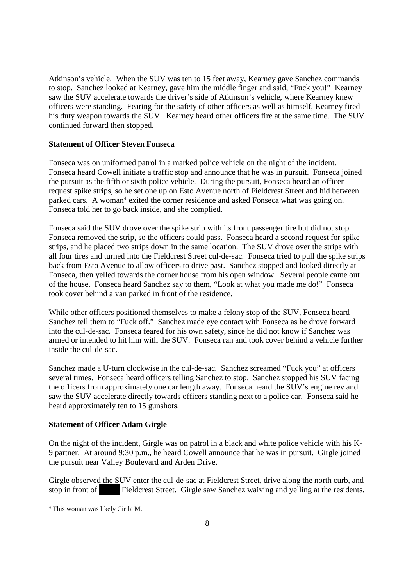Atkinson's vehicle. When the SUV was ten to 15 feet away, Kearney gave Sanchez commands to stop. Sanchez looked at Kearney, gave him the middle finger and said, "Fuck you!" Kearney saw the SUV accelerate towards the driver's side of Atkinson's vehicle, where Kearney knew officers were standing. Fearing for the safety of other officers as well as himself, Kearney fired his duty weapon towards the SUV. Kearney heard other officers fire at the same time. The SUV continued forward then stopped.

#### **Statement of Officer Steven Fonseca**

Fonseca was on uniformed patrol in a marked police vehicle on the night of the incident. Fonseca heard Cowell initiate a traffic stop and announce that he was in pursuit. Fonseca joined the pursuit as the fifth or sixth police vehicle. During the pursuit, Fonseca heard an officer request spike strips, so he set one up on Esto Avenue north of Fieldcrest Street and hid between parked cars. A woman<sup>4</sup> exited the corner residence and asked Fonseca what was going on. Fonseca told her to go back inside, and she complied.

Fonseca said the SUV drove over the spike strip with its front passenger tire but did not stop. Fonseca removed the strip, so the officers could pass. Fonseca heard a second request for spike strips, and he placed two strips down in the same location. The SUV drove over the strips with all four tires and turned into the Fieldcrest Street cul-de-sac. Fonseca tried to pull the spike strips back from Esto Avenue to allow officers to drive past. Sanchez stopped and looked directly at Fonseca, then yelled towards the corner house from his open window. Several people came out of the house. Fonseca heard Sanchez say to them, "Look at what you made me do!" Fonseca took cover behind a van parked in front of the residence.

While other officers positioned themselves to make a felony stop of the SUV, Fonseca heard Sanchez tell them to "Fuck off." Sanchez made eye contact with Fonseca as he drove forward into the cul-de-sac. Fonseca feared for his own safety, since he did not know if Sanchez was armed or intended to hit him with the SUV. Fonseca ran and took cover behind a vehicle further inside the cul-de-sac.

Sanchez made a U-turn clockwise in the cul-de-sac. Sanchez screamed "Fuck you" at officers several times. Fonseca heard officers telling Sanchez to stop. Sanchez stopped his SUV facing the officers from approximately one car length away. Fonseca heard the SUV's engine rev and saw the SUV accelerate directly towards officers standing next to a police car. Fonseca said he heard approximately ten to 15 gunshots.

## **Statement of Officer Adam Girgle**

On the night of the incident, Girgle was on patrol in a black and white police vehicle with his K-9 partner. At around 9:30 p.m., he heard Cowell announce that he was in pursuit. Girgle joined the pursuit near Valley Boulevard and Arden Drive.

Girgle observed the SUV enter the cul-de-sac at Fieldcrest Street, drive along the north curb, and stop in front of Fieldcrest Street. Girgle saw Sanchez waiving and yelling at the residents.

<sup>4</sup> This woman was likely Cirila M.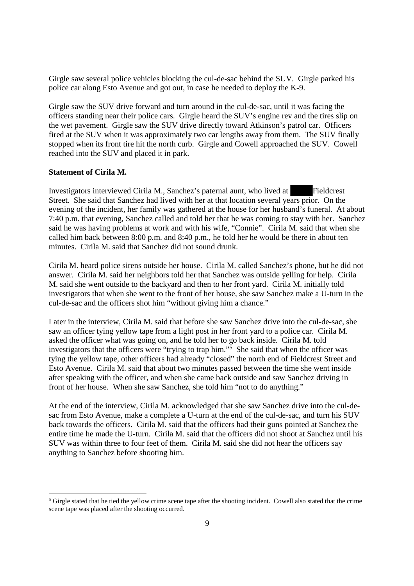Girgle saw several police vehicles blocking the cul-de-sac behind the SUV. Girgle parked his police car along Esto Avenue and got out, in case he needed to deploy the K-9.

Girgle saw the SUV drive forward and turn around in the cul-de-sac, until it was facing the officers standing near their police cars. Girgle heard the SUV's engine rev and the tires slip on the wet pavement. Girgle saw the SUV drive directly toward Atkinson's patrol car. Officers fired at the SUV when it was approximately two car lengths away from them. The SUV finally stopped when its front tire hit the north curb. Girgle and Cowell approached the SUV. Cowell reached into the SUV and placed it in park.

#### **Statement of Cirila M.**

Investigators interviewed Cirila M., Sanchez's paternal aunt, who lived at Fieldcrest Street. She said that Sanchez had lived with her at that location several years prior. On the evening of the incident, her family was gathered at the house for her husband's funeral. At about 7:40 p.m. that evening, Sanchez called and told her that he was coming to stay with her. Sanchez said he was having problems at work and with his wife, "Connie". Cirila M. said that when she called him back between 8:00 p.m. and 8:40 p.m., he told her he would be there in about ten minutes. Cirila M. said that Sanchez did not sound drunk.

Cirila M. heard police sirens outside her house. Cirila M. called Sanchez's phone, but he did not answer. Cirila M. said her neighbors told her that Sanchez was outside yelling for help. Cirila M. said she went outside to the backyard and then to her front yard. Cirila M. initially told investigators that when she went to the front of her house, she saw Sanchez make a U-turn in the cul-de-sac and the officers shot him "without giving him a chance."

Later in the interview, Cirila M. said that before she saw Sanchez drive into the cul-de-sac, she saw an officer tying yellow tape from a light post in her front yard to a police car. Cirila M. asked the officer what was going on, and he told her to go back inside. Cirila M. told investigators that the officers were "trying to trap him."<sup>5</sup> She said that when the officer was tying the yellow tape, other officers had already "closed" the north end of Fieldcrest Street and Esto Avenue. Cirila M. said that about two minutes passed between the time she went inside after speaking with the officer, and when she came back outside and saw Sanchez driving in front of her house. When she saw Sanchez, she told him "not to do anything."

At the end of the interview, Cirila M. acknowledged that she saw Sanchez drive into the cul-desac from Esto Avenue, make a complete a U-turn at the end of the cul-de-sac, and turn his SUV back towards the officers. Cirila M. said that the officers had their guns pointed at Sanchez the entire time he made the U-turn. Cirila M. said that the officers did not shoot at Sanchez until his SUV was within three to four feet of them. Cirila M. said she did not hear the officers say anything to Sanchez before shooting him.

<sup>&</sup>lt;sup>5</sup> Girgle stated that he tied the yellow crime scene tape after the shooting incident. Cowell also stated that the crime scene tape was placed after the shooting occurred.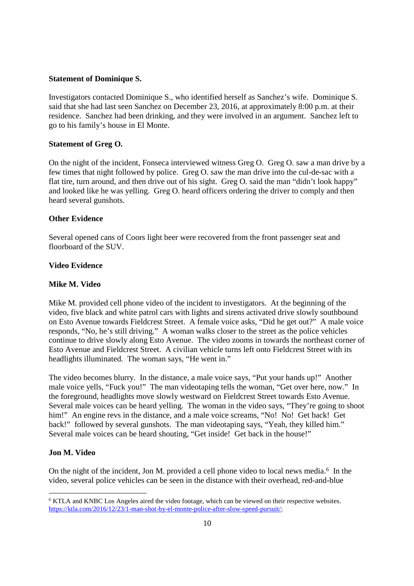#### **Statement of Dominique S.**

Investigators contacted Dominique S., who identified herself as Sanchez's wife. Dominique S. said that she had last seen Sanchez on December 23, 2016, at approximately 8:00 p.m. at their residence. Sanchez had been drinking, and they were involved in an argument. Sanchez left to go to his family's house in El Monte.

#### **Statement of Greg O.**

On the night of the incident, Fonseca interviewed witness Greg O. Greg O. saw a man drive by a few times that night followed by police. Greg O. saw the man drive into the cul-de-sac with a flat tire, turn around, and then drive out of his sight. Greg O. said the man "didn't look happy" and looked like he was yelling. Greg O. heard officers ordering the driver to comply and then heard several gunshots.

#### **Other Evidence**

Several opened cans of Coors light beer were recovered from the front passenger seat and floorboard of the SUV.

### **Video Evidence**

#### **Mike M. Video**

Mike M. provided cell phone video of the incident to investigators. At the beginning of the video, five black and white patrol cars with lights and sirens activated drive slowly southbound on Esto Avenue towards Fieldcrest Street. A female voice asks, "Did he get out?" A male voice responds, "No, he's still driving." A woman walks closer to the street as the police vehicles continue to drive slowly along Esto Avenue. The video zooms in towards the northeast corner of Esto Avenue and Fieldcrest Street. A civilian vehicle turns left onto Fieldcrest Street with its headlights illuminated. The woman says, "He went in."

The video becomes blurry. In the distance, a male voice says, "Put your hands up!" Another male voice yells, "Fuck you!" The man videotaping tells the woman, "Get over here, now." In the foreground, headlights move slowly westward on Fieldcrest Street towards Esto Avenue. Several male voices can be heard yelling. The woman in the video says, "They're going to shoot him!" An engine revs in the distance, and a male voice screams, "No! No! Get back! Get back!" followed by several gunshots. The man videotaping says, "Yeah, they killed him." Several male voices can be heard shouting, "Get inside! Get back in the house!"

#### **Jon M. Video**

On the night of the incident, Jon M. provided a cell phone video to local news media.<sup>6</sup> In the video, several police vehicles can be seen in the distance with their overhead, red-and-blue

<sup>6</sup> KTLA and KNBC Los Angeles aired the video footage, which can be viewed on their respective websites. https://ktla.com/2016/12/23/1-man-shot-by-el-monte-police-after-slow-speed-pursuit/;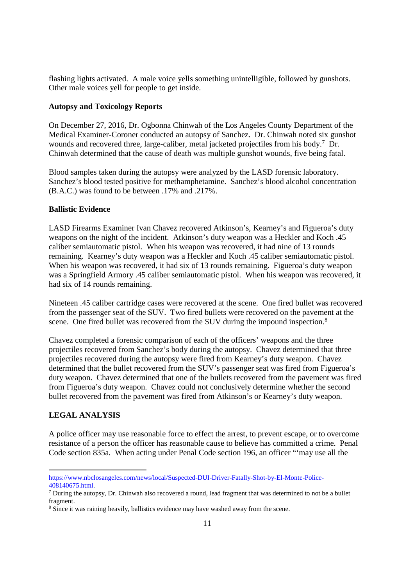flashing lights activated. A male voice yells something unintelligible, followed by gunshots. Other male voices yell for people to get inside.

#### **Autopsy and Toxicology Reports**

On December 27, 2016, Dr. Ogbonna Chinwah of the Los Angeles County Department of the Medical Examiner-Coroner conducted an autopsy of Sanchez. Dr. Chinwah noted six gunshot wounds and recovered three, large-caliber, metal jacketed projectiles from his body.<sup>7</sup> Dr. Chinwah determined that the cause of death was multiple gunshot wounds, five being fatal.

Blood samples taken during the autopsy were analyzed by the LASD forensic laboratory. Sanchez's blood tested positive for methamphetamine. Sanchez's blood alcohol concentration (B.A.C.) was found to be between .17% and .217%.

## **Ballistic Evidence**

LASD Firearms Examiner Ivan Chavez recovered Atkinson's, Kearney's and Figueroa's duty weapons on the night of the incident. Atkinson's duty weapon was a Heckler and Koch .45 caliber semiautomatic pistol. When his weapon was recovered, it had nine of 13 rounds remaining. Kearney's duty weapon was a Heckler and Koch .45 caliber semiautomatic pistol. When his weapon was recovered, it had six of 13 rounds remaining. Figueroa's duty weapon was a Springfield Armory .45 caliber semiautomatic pistol. When his weapon was recovered, it had six of 14 rounds remaining.

Nineteen .45 caliber cartridge cases were recovered at the scene. One fired bullet was recovered from the passenger seat of the SUV. Two fired bullets were recovered on the pavement at the scene. One fired bullet was recovered from the SUV during the impound inspection.<sup>8</sup>

Chavez completed a forensic comparison of each of the officers' weapons and the three projectiles recovered from Sanchez's body during the autopsy. Chavez determined that three projectiles recovered during the autopsy were fired from Kearney's duty weapon. Chavez determined that the bullet recovered from the SUV's passenger seat was fired from Figueroa's duty weapon. Chavez determined that one of the bullets recovered from the pavement was fired from Figueroa's duty weapon. Chavez could not conclusively determine whether the second bullet recovered from the pavement was fired from Atkinson's or Kearney's duty weapon.

## **LEGAL ANALYSIS**

A police officer may use reasonable force to effect the arrest, to prevent escape, or to overcome resistance of a person the officer has reasonable cause to believe has committed a crime. Penal Code section 835a. When acting under Penal Code section 196, an officer "'may use all the

https://www.nbclosangeles.com/news/local/Suspected-DUI-Driver-Fatally-Shot-by-El-Monte-Police-408140675.html.

 $\sqrt{7}$  During the autopsy, Dr. Chinwah also recovered a round, lead fragment that was determined to not be a bullet fragment.

<sup>8</sup> Since it was raining heavily, ballistics evidence may have washed away from the scene.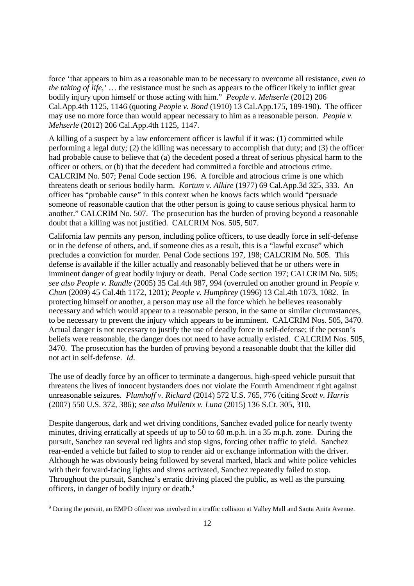force 'that appears to him as a reasonable man to be necessary to overcome all resistance, *even to the taking of life,'* … the resistance must be such as appears to the officer likely to inflict great bodily injury upon himself or those acting with him." *People v. Mehserle* (2012) 206 Cal.App.4th 1125, 1146 (quoting *People v. Bond* (1910) 13 Cal.App.175, 189-190). The officer may use no more force than would appear necessary to him as a reasonable person. *People v. Mehserle* (2012) 206 Cal.App.4th 1125, 1147.

A killing of a suspect by a law enforcement officer is lawful if it was: (1) committed while performing a legal duty; (2) the killing was necessary to accomplish that duty; and (3) the officer had probable cause to believe that (a) the decedent posed a threat of serious physical harm to the officer or others, or (b) that the decedent had committed a forcible and atrocious crime. CALCRIM No. 507; Penal Code section 196. A forcible and atrocious crime is one which threatens death or serious bodily harm. *Kortum v. Alkire* (1977) 69 Cal.App.3d 325, 333. An officer has "probable cause" in this context when he knows facts which would "persuade someone of reasonable caution that the other person is going to cause serious physical harm to another." CALCRIM No. 507. The prosecution has the burden of proving beyond a reasonable doubt that a killing was not justified. CALCRIM Nos. 505, 507.

California law permits any person, including police officers, to use deadly force in self-defense or in the defense of others, and, if someone dies as a result, this is a "lawful excuse" which precludes a conviction for murder. Penal Code sections 197, 198; CALCRIM No. 505. This defense is available if the killer actually and reasonably believed that he or others were in imminent danger of great bodily injury or death. Penal Code section 197; CALCRIM No. 505; *see also People v. Randle* (2005) 35 Cal.4th 987, 994 (overruled on another ground in *People v. Chun* (2009) 45 Cal.4th 1172, 1201); *People v. Humphrey* (1996) 13 Cal.4th 1073, 1082. In protecting himself or another, a person may use all the force which he believes reasonably necessary and which would appear to a reasonable person, in the same or similar circumstances, to be necessary to prevent the injury which appears to be imminent. CALCRIM Nos. 505, 3470. Actual danger is not necessary to justify the use of deadly force in self-defense; if the person's beliefs were reasonable, the danger does not need to have actually existed. CALCRIM Nos. 505, 3470. The prosecution has the burden of proving beyond a reasonable doubt that the killer did not act in self-defense. *Id*.

The use of deadly force by an officer to terminate a dangerous, high-speed vehicle pursuit that threatens the lives of innocent bystanders does not violate the Fourth Amendment right against unreasonable seizures. *Plumhoff v. Rickard* (2014) 572 U.S. 765, 776 (citing *Scott v. Harris* (2007) 550 U.S. 372, 386); *see also Mullenix v. Luna* (2015) 136 S.Ct. 305, 310.

Despite dangerous, dark and wet driving conditions, Sanchez evaded police for nearly twenty minutes, driving erratically at speeds of up to 50 to 60 m.p.h. in a 35 m.p.h. zone. During the pursuit, Sanchez ran several red lights and stop signs, forcing other traffic to yield. Sanchez rear-ended a vehicle but failed to stop to render aid or exchange information with the driver. Although he was obviously being followed by several marked, black and white police vehicles with their forward-facing lights and sirens activated, Sanchez repeatedly failed to stop. Throughout the pursuit, Sanchez's erratic driving placed the public, as well as the pursuing officers, in danger of bodily injury or death.<sup>9</sup>

<sup>9</sup> During the pursuit, an EMPD officer was involved in a traffic collision at Valley Mall and Santa Anita Avenue.